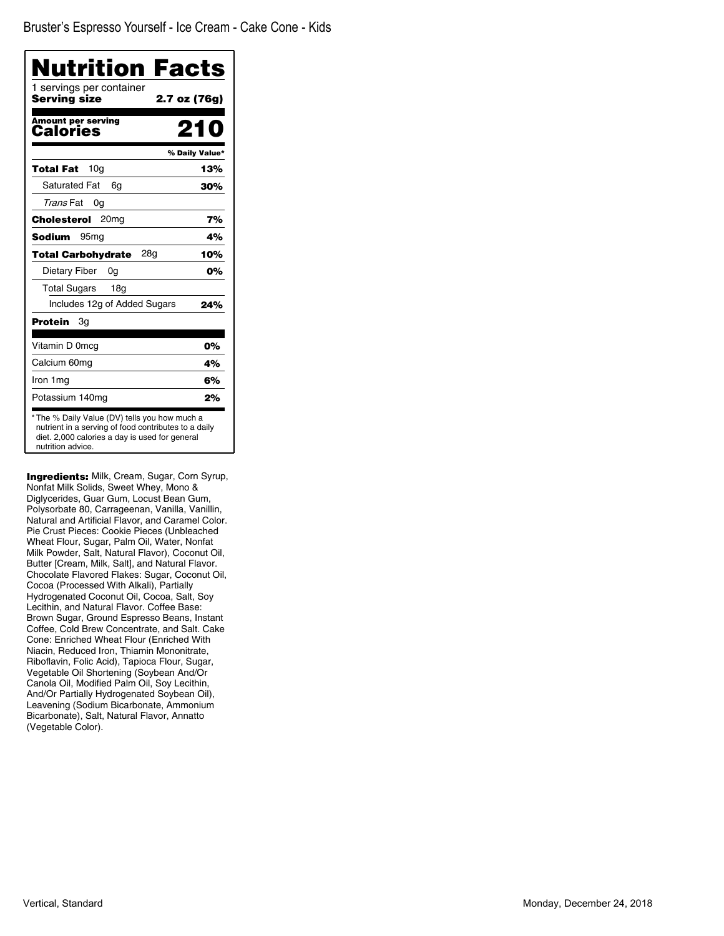| Nutrition Facts                          |                |
|------------------------------------------|----------------|
| 1 servings per container<br>Serving size | 2.7 oz (76g)   |
| <b>Amount per serving</b><br>Calories    | 210            |
|                                          | % Daily Value* |
| 10 <sub>q</sub><br>Total Fat             | 13%            |
| <b>Saturated Fat</b><br>6q               | 30%            |
| Trans Fat<br>0g                          |                |
| Cholesterol<br>20 <sub>mg</sub>          | 7%             |
| <b>Sodium</b><br>95 <sub>mq</sub>        | 4%             |
| 28g<br><b>Total Carbohydrate</b>         | 10%            |
| Dietary Fiber<br>0g                      | 0%             |
| <b>Total Sugars</b><br>18a               |                |
| Includes 12g of Added Sugars             | 24%            |
| Protein<br>Зg                            |                |
| Vitamin D 0mcg                           | 0%             |
| Calcium 60mg                             | 4%             |
| Iron 1mg                                 | 6%             |
| Potassium 140mg                          | 2%             |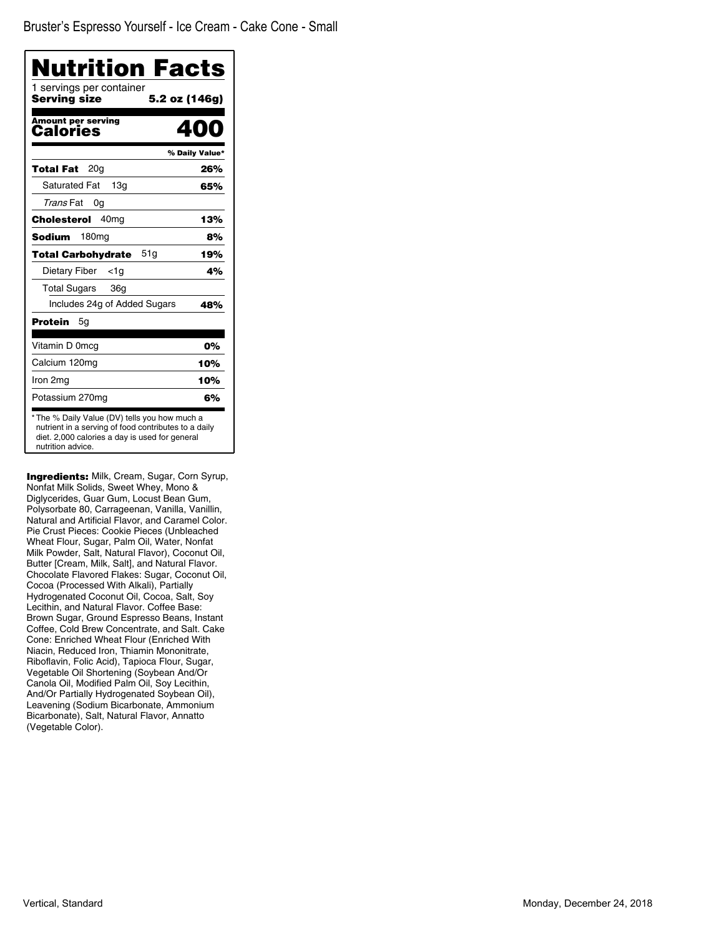| 1 servings per container<br><b>Serving size</b> | 5.2 oz (146g)  |
|-------------------------------------------------|----------------|
| Amount per serving<br>Calories                  |                |
|                                                 | % Daily Value* |
| 20a<br>Total Fat                                | 26%            |
| <b>Saturated Fat</b><br>13 <sub>q</sub>         | 65%            |
| Trans Fat<br>0g                                 |                |
| Cholesterol<br>40 <sub>mq</sub>                 | 13%            |
| Sodium<br>180 <sub>mg</sub>                     | 8%             |
| 51g<br><b>Total Carbohydrate</b>                | 19%            |
| Dietary Fiber<br><1a                            | 4%             |
| Total Sugars<br>36g                             |                |
| Includes 24g of Added Sugars                    | 48%            |
| <b>Protein</b><br>5g                            |                |
| Vitamin D 0mcg                                  | 0%             |
| Calcium 120mg                                   | 10%            |
| Iron 2mg                                        | 10%            |
| Potassium 270mg                                 | 6%             |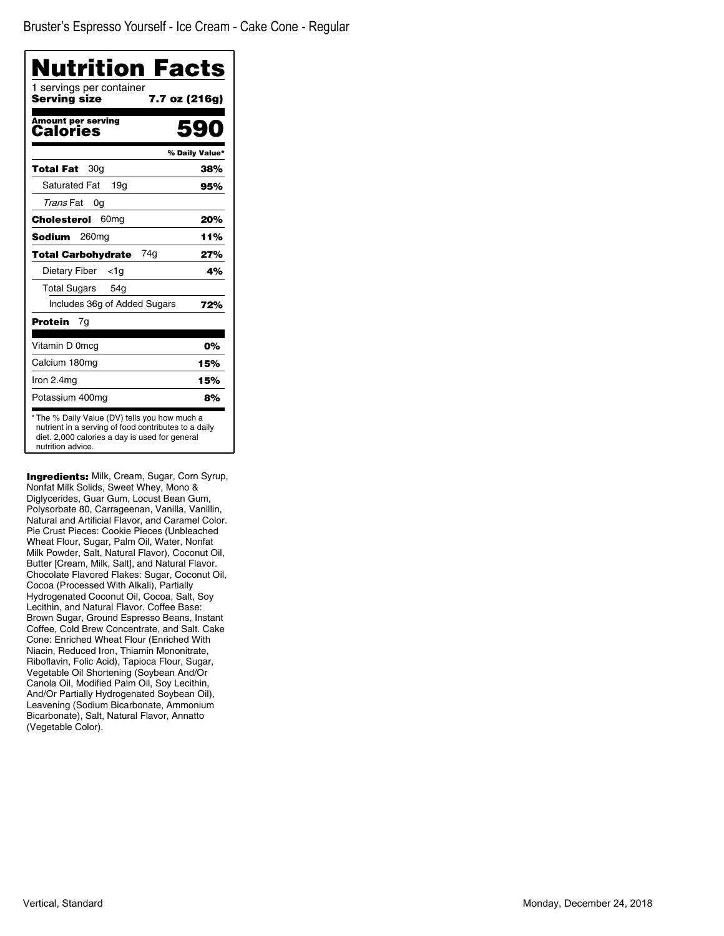| 7.7 oz (216g)<br>59<br>% Daily Value*<br>38%<br>95%                                                   |
|-------------------------------------------------------------------------------------------------------|
|                                                                                                       |
|                                                                                                       |
|                                                                                                       |
|                                                                                                       |
|                                                                                                       |
|                                                                                                       |
| 20%                                                                                                   |
| 11%                                                                                                   |
| 27%                                                                                                   |
| 4%                                                                                                    |
|                                                                                                       |
| 72%                                                                                                   |
|                                                                                                       |
| 0%                                                                                                    |
| 15%                                                                                                   |
| 15%                                                                                                   |
| 8%                                                                                                    |
| * The % Daily Value (DV) tells you how much a<br>nutrient in a serving of food contributes to a daily |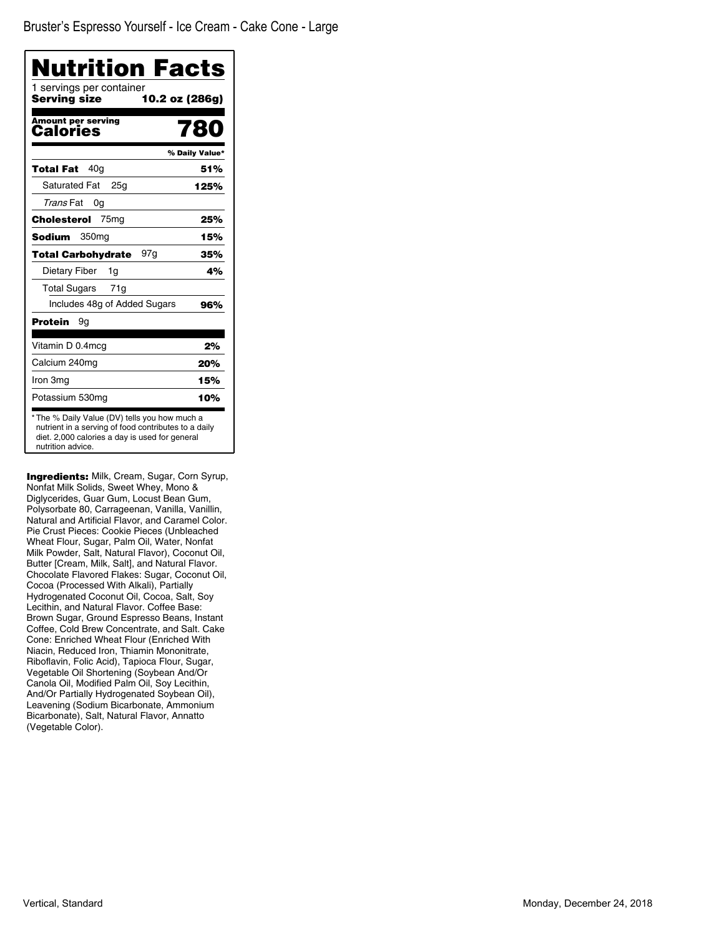| Nutrition Facts<br>1 servings per container |                |
|---------------------------------------------|----------------|
| Serving size                                | 10.2 oz (286g) |
| <b>Amount per serving</b><br>Calories       | 780            |
|                                             | % Daily Value* |
| 40a<br><b>Total Fat</b>                     | 51%            |
| <b>Saturated Fat</b><br>25a                 | 125%           |
| Trans Fat<br>0g                             |                |
| 75 <sub>mg</sub><br>Cholesterol             | 25%            |
| <b>Sodium</b><br>350 <sub>mg</sub>          | 15%            |
| 97 g<br><b>Total Carbohydrate</b>           | 35%            |
| Dietary Fiber<br>1g                         | 4%             |
| <b>Total Sugars</b><br>71g                  |                |
| Includes 48g of Added Sugars                | 96%            |
| Protein<br>9g                               |                |
| Vitamin D 0.4mcg                            | 2%             |
| Calcium 240mg                               | 20%            |
| Iron 3mg                                    | 15%            |
| Potassium 530mg                             | 10%            |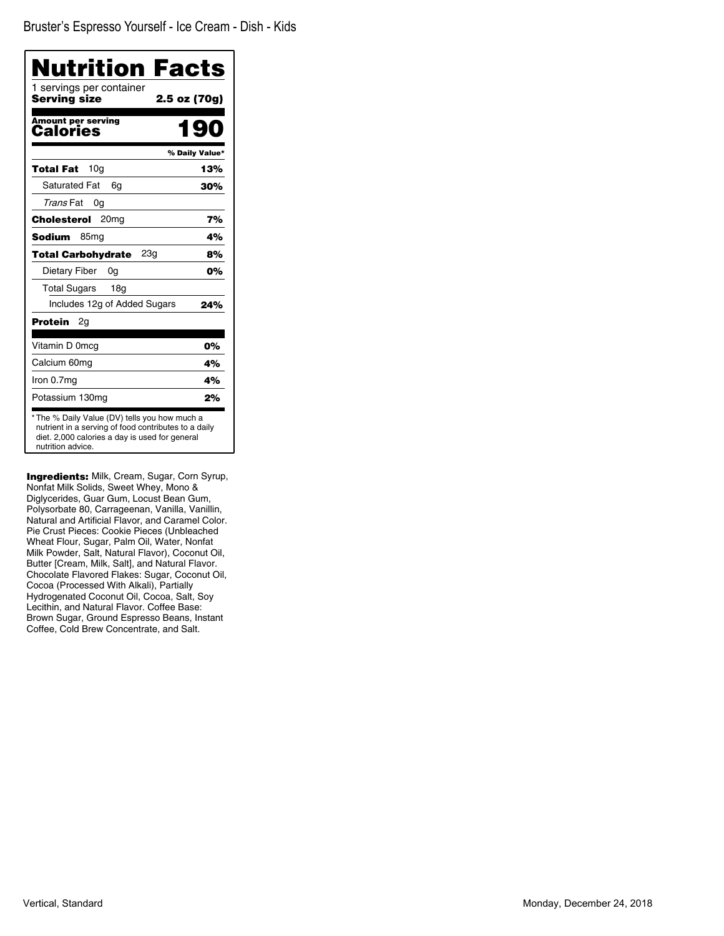| Nutrition Facts                          |                |
|------------------------------------------|----------------|
| 1 servings per container<br>Servina size | 2.5 oz (70g)   |
| <b>Amount per serving</b><br>Calories    | 190            |
|                                          | % Daily Value* |
| 10 <sub>q</sub><br>Total Fat             | 13%            |
| <b>Saturated Fat</b><br>6q               | 30%            |
| Trans Fat<br>0g                          |                |
| 20 <sub>mg</sub><br><b>Cholesterol</b>   | 7%             |
| <b>Sodium</b><br>85 <sub>mg</sub>        | 4%             |
| 23q<br><b>Total Carbohydrate</b>         | 8%             |
| Dietary Fiber<br>0a                      | 0%             |
| <b>Total Sugars</b><br>18 <sub>g</sub>   |                |
| Includes 12g of Added Sugars             | 24%            |
| Protein<br>2g                            |                |
| Vitamin D 0mcg                           | 0%             |
| Calcium 60mg                             | 4%             |
| Iron 0.7mg                               | 4%             |
| Potassium 130mg                          | 2%             |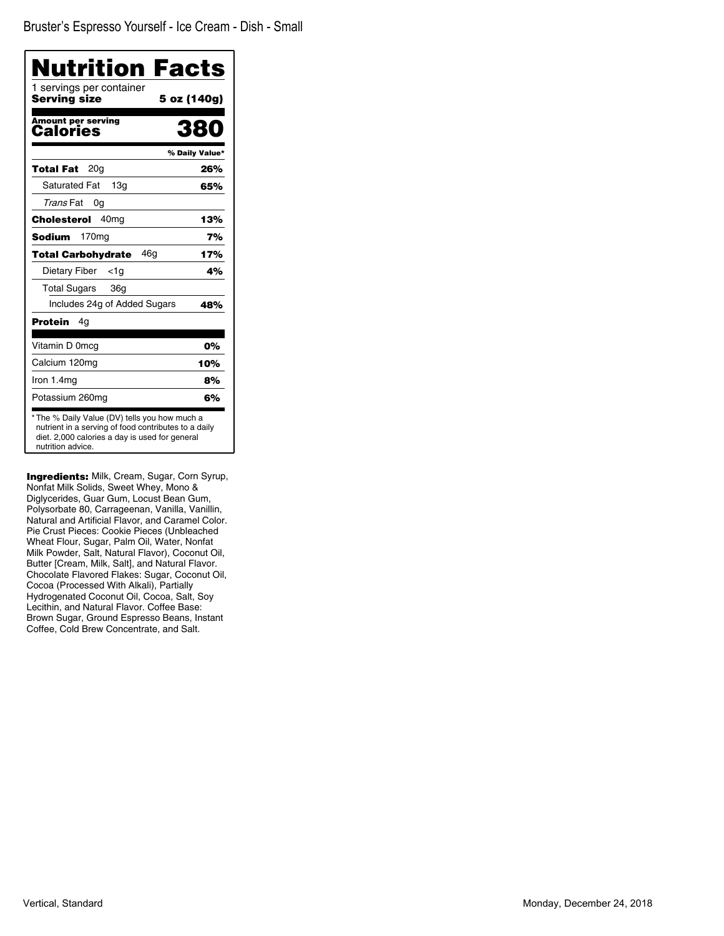| Nutrition Facts                          |                |
|------------------------------------------|----------------|
| 1 servings per container<br>Serving size | 5 oz (140g)    |
| <b>Amount per serving</b><br>Calories    | 38             |
|                                          | % Daily Value* |
| 20a<br>Total Fat                         | 26%            |
| <b>Saturated Fat</b><br>13q              | 65%            |
| Trans Fat<br>0g                          |                |
| 40 <sub>mg</sub><br>Cholesterol          | 13%            |
| Sodium<br>170 <sub>mg</sub>              | 7%             |
| 46q<br><b>Total Carbohydrate</b>         | 17%            |
| Dietary Fiber<br><1a                     | 4%             |
| <b>Total Sugars</b><br>36g               |                |
| Includes 24g of Added Sugars             | 48%            |
| <b>Protein</b><br>4g                     |                |
| Vitamin D 0mcg                           | 0%             |
| Calcium 120mg                            | 10%            |
| Iron 1.4mg                               | 8%             |
| Potassium 260mg                          | 6%             |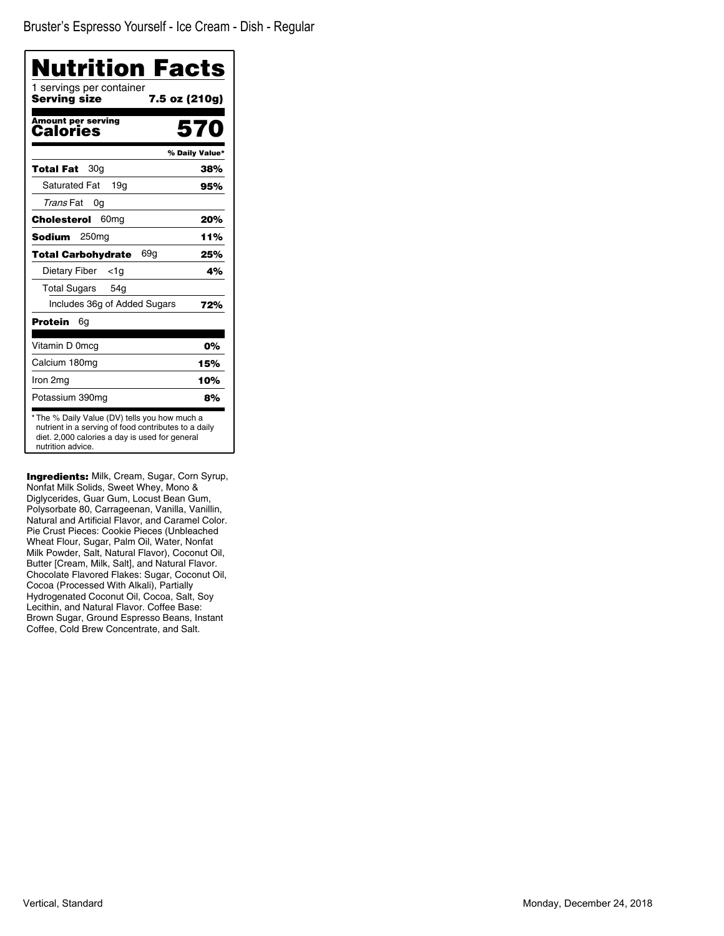| Nutrition Facts<br>1 servings per container |                |
|---------------------------------------------|----------------|
| <b>Serving size</b>                         | 7.5 oz (210g)  |
| Amount per serving<br>Calories              | 570            |
|                                             | % Daily Value* |
| 30a<br>Total Fat                            | 38%            |
| <b>Saturated Fat</b><br>19a                 | 95%            |
| Trans Fat<br>0g                             |                |
| 60 <sub>mg</sub><br>Cholesterol             | 20%            |
| Sodium<br>250 <sub>mg</sub>                 | 11%            |
| 69g<br><b>Total Carbohydrate</b>            | 25%            |
| Dietary Fiber<br><1g                        | 4%             |
| <b>Total Sugars</b><br>54 <sub>q</sub>      |                |
| Includes 36g of Added Sugars                | 72%            |
| Protein<br>6g                               |                |
| Vitamin D 0mcg                              | 0%             |
| Calcium 180mg                               | 15%            |
| Iron 2mg                                    | 10%            |
| Potassium 390mg                             | 8%             |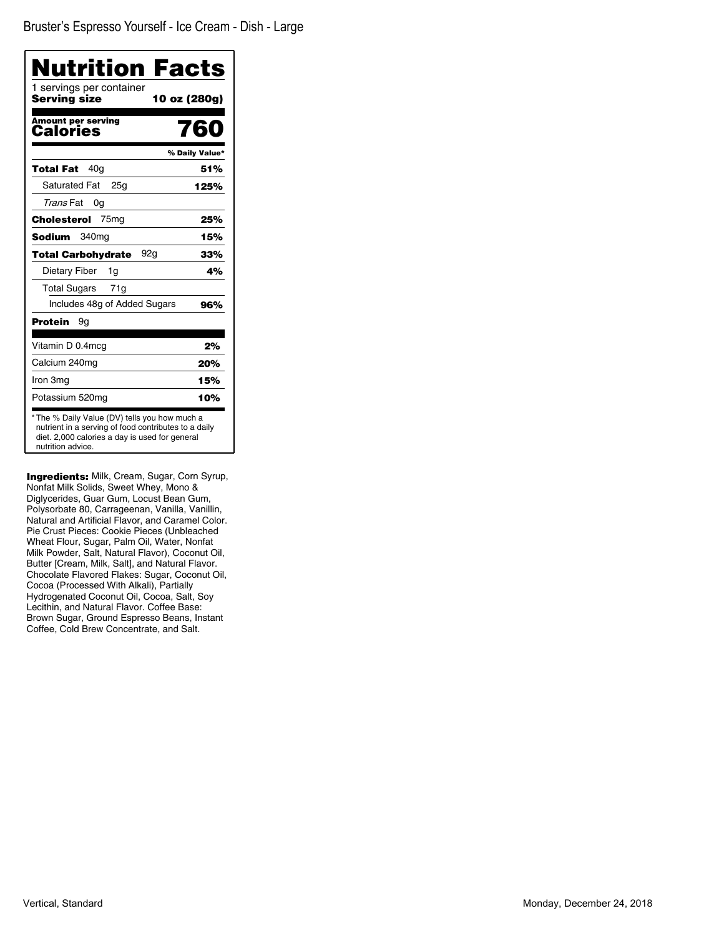| Nutrition Facts                          |                |
|------------------------------------------|----------------|
| 1 servings per container<br>Serving size | 10 oz (280g)   |
| <b>Amount per serving</b><br>Calories    | 760            |
|                                          | % Daily Value* |
| 40a<br>Total Fat                         | 51%            |
| <b>Saturated Fat</b><br>25 <sub>q</sub>  | 125%           |
| Trans Fat<br>0g                          |                |
| 75 <sub>mg</sub><br>Cholesterol          | 25%            |
| <b>Sodium</b><br>340 <sub>mg</sub>       | 15%            |
| 92a<br><b>Total Carbohydrate</b>         | 33%            |
| Dietary Fiber<br>1g                      | 4%             |
| <b>Total Sugars</b><br>71g               |                |
| Includes 48g of Added Sugars             | 96%            |
| <b>Protein</b><br>9g                     |                |
| Vitamin D 0.4mcg                         | 2%             |
| Calcium 240mg                            | 20%            |
| Iron 3mg                                 | 15%            |
| Potassium 520mg                          | 10%            |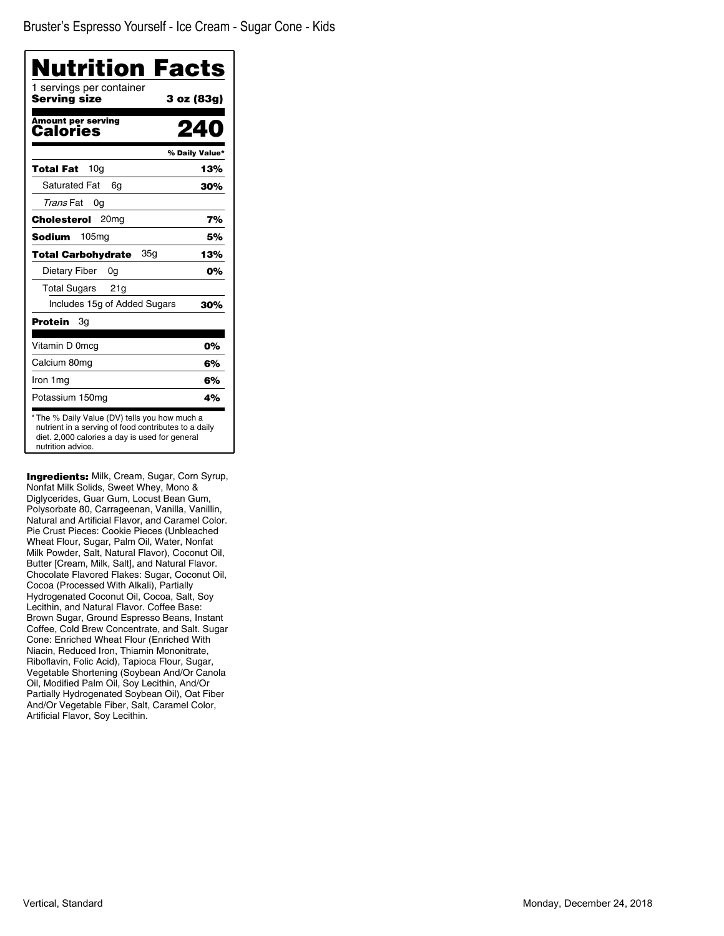| Nutrition Facts<br>1 servings per container                                                                                                                                  |                |
|------------------------------------------------------------------------------------------------------------------------------------------------------------------------------|----------------|
| Serving size                                                                                                                                                                 | 3 oz (83g)     |
| <b>Amount per serving</b><br>Calories                                                                                                                                        |                |
|                                                                                                                                                                              | % Daily Value* |
| 10 <sub>q</sub><br><b>Total Fat</b>                                                                                                                                          | 13%            |
| Saturated Fat<br>6g                                                                                                                                                          | 30%            |
| Trans Fat<br>0g                                                                                                                                                              |                |
| <b>Cholesterol</b><br>20 <sub>mg</sub>                                                                                                                                       | 7%             |
| Sodium<br>105 <sub>mg</sub>                                                                                                                                                  | 5%             |
| 35g<br><b>Total Carbohydrate</b>                                                                                                                                             | 13%            |
| Dietary Fiber<br>0g                                                                                                                                                          | 0%             |
| <b>Total Sugars</b><br>21q                                                                                                                                                   |                |
| Includes 15g of Added Sugars                                                                                                                                                 | 30%            |
| Protein<br>Зg                                                                                                                                                                |                |
| Vitamin D 0mcg                                                                                                                                                               | 0%             |
| Calcium 80mg                                                                                                                                                                 | 6%             |
| Iron 1mg                                                                                                                                                                     | 6%             |
| Potassium 150mg                                                                                                                                                              | 4%             |
| * The % Daily Value (DV) tells you how much a<br>nutrient in a serving of food contributes to a daily<br>diet. 2,000 calories a day is used for general<br>nutrition advice. |                |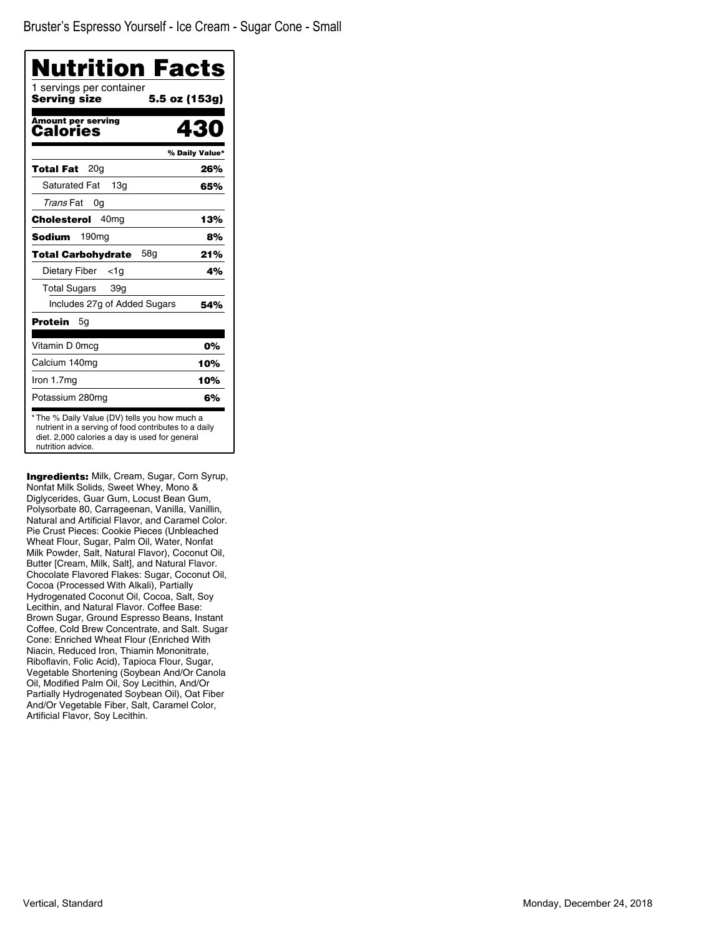| <b>Nutrition Facts</b>                                                                                |                |
|-------------------------------------------------------------------------------------------------------|----------------|
| 1 servings per container<br>Serving size                                                              | 5.5 oz (153g)  |
| <b>Amount per serving</b><br>Calories                                                                 | 430            |
|                                                                                                       | % Daily Value* |
| 20 <sub>q</sub><br>Total Fat                                                                          | 26%            |
| <b>Saturated Fat</b><br>13q                                                                           | 65%            |
| Trans Fat<br>0g                                                                                       |                |
| <b>Cholesterol</b><br>40 <sub>mq</sub>                                                                | 13%            |
| 190 <sub>mg</sub><br>Sodium                                                                           | 8%             |
| 58a<br><b>Total Carbohydrate</b>                                                                      | 21%            |
| Dietary Fiber<br><1a                                                                                  | 4%             |
| Total Sugars<br>39q                                                                                   |                |
| Includes 27g of Added Sugars                                                                          | 54%            |
| <b>Protein</b><br>5g                                                                                  |                |
| Vitamin D 0mcq                                                                                        | 0%             |
| Calcium 140mg                                                                                         | 10%            |
| Iron 1.7mg                                                                                            | 10%            |
| Potassium 280mg                                                                                       | 6%             |
| * The % Daily Value (DV) tells you how much a<br>nutrient in a serving of food contributes to a daily |                |
| diet. 2,000 calories a day is used for general<br>nutrition advice.                                   |                |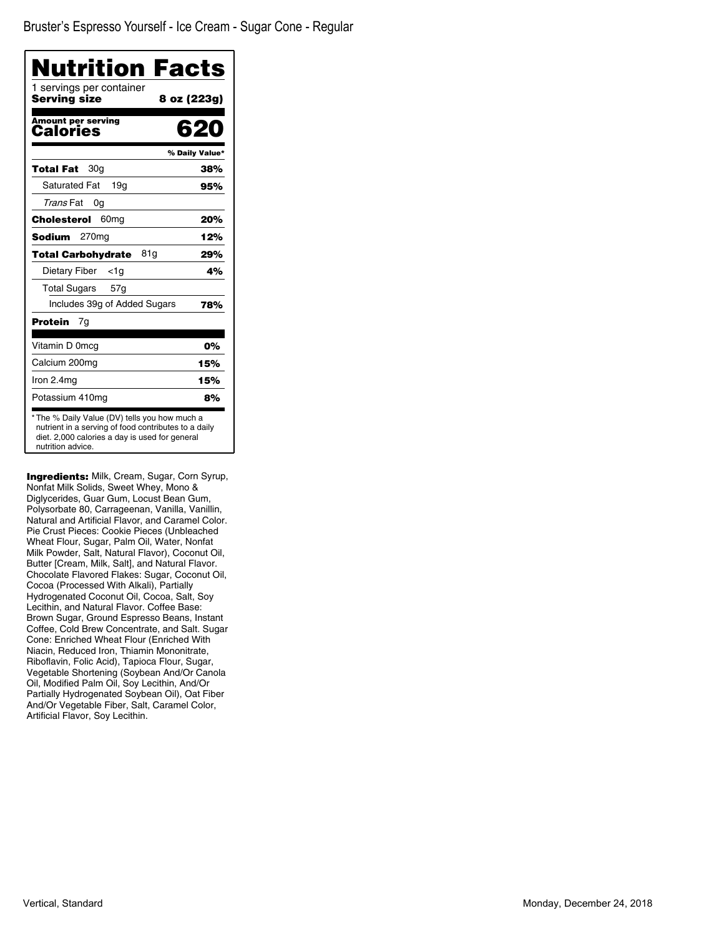| Nutrition Facts<br>1 servings per container  |                |
|----------------------------------------------|----------------|
| Serving size                                 | 8 oz (223g)    |
| <b>Amount per serving</b><br><b>Calories</b> | 62             |
|                                              | % Daily Value* |
| 30a<br>Total Fat                             | 38%            |
| <b>Saturated Fat</b><br>19a                  | 95%            |
| Trans Fat<br>0g                              |                |
| Cholesterol<br>60 <sub>mq</sub>              | 20%            |
| Sodium<br>270mg                              | 12%            |
| 81g<br><b>Total Carbohydrate</b>             | 29%            |
| Dietary Fiber<br><1a                         | 4%             |
| Total Sugars<br>57g                          |                |
| Includes 39g of Added Sugars                 | 78%            |
| Protein<br>7g                                |                |
| Vitamin D 0mcg                               | 0%             |
| Calcium 200mg                                | 15%            |
| Iron 2.4mg                                   | 15%            |
| Potassium 410mg                              | 8%             |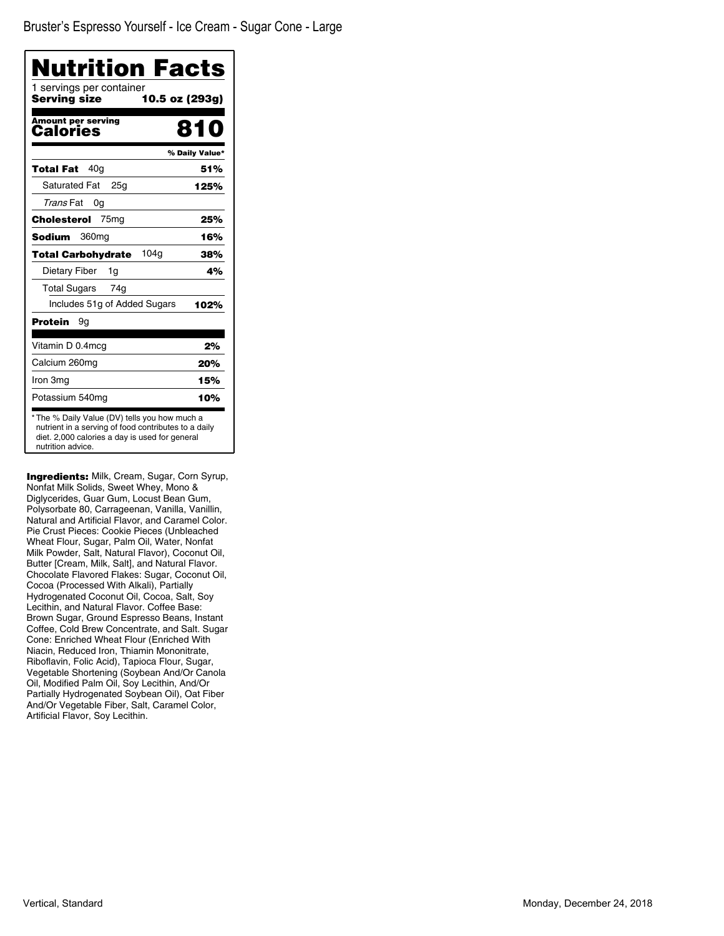| Nutrition Facts<br>1 servings per container |                |
|---------------------------------------------|----------------|
| Serving size                                | 10.5 oz (293g) |
| <b>Amount per serving</b><br>Calories       | 810            |
|                                             | % Daily Value* |
| 40g<br>Total Fat                            | 51%            |
| <b>Saturated Fat</b><br>25a                 | 125%           |
| Trans Fat<br>0g                             |                |
| 75 <sub>mg</sub><br>Cholesterol             | 25%            |
| <b>Sodium</b><br>360 <sub>mq</sub>          | 16%            |
| 104q<br><b>Total Carbohydrate</b>           | 38%            |
| Dietary Fiber<br>1g                         | 4%             |
| <b>Total Sugars</b><br>74g                  |                |
| Includes 51g of Added Sugars                | 102%           |
| Protein<br>9g                               |                |
| Vitamin D 0.4mcg                            | 2%             |
| Calcium 260mg                               | 20%            |
| Iron 3mg                                    | 15%            |
| Potassium 540mg                             | 10%            |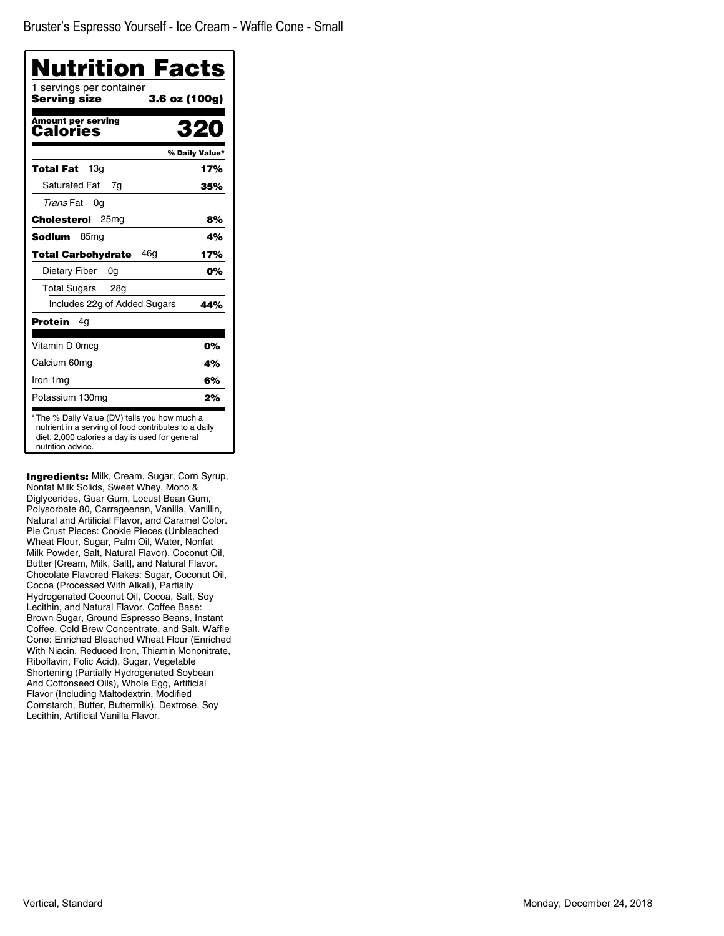| <b>Nutrition Facts</b><br>1 servings per container<br>Serving size | 3.6 oz (100g)  |
|--------------------------------------------------------------------|----------------|
| <b>Amount per serving</b><br>Calories                              | 320            |
|                                                                    | % Daily Value* |
| 13q<br>Total Fat                                                   | 17%            |
| <b>Saturated Fat</b><br>7g                                         | 35%            |
| Trans Fat<br>0g                                                    |                |
| Cholesterol<br>25 <sub>mg</sub>                                    | 8%             |
| <b>Sodium</b><br>85 <sub>mg</sub>                                  | 4%             |
| 46q<br><b>Total Carbohydrate</b>                                   | 17%            |
| Dietary Fiber<br>0g                                                | 0%             |
| Total Sugars 28g                                                   |                |
| Includes 22g of Added Sugars                                       | 44%            |
| Protein<br>4g                                                      |                |
| Vitamin D 0mcg                                                     | 0%             |
| Calcium 60mg                                                       | 4%             |
| Iron 1mg                                                           | 6%             |
|                                                                    | 2%             |

Ingredients: Milk, Cream, Sugar, Corn Syrup, Nonfat Milk Solids, Sweet Whey, Mono & Diglycerides, Guar Gum, Locust Bean Gum, Polysorbate 80, Carrageenan, Vanilla, Vanillin, Natural and Artificial Flavor, and Caramel Color. Pie Crust Pieces: Cookie Pieces (Unbleached Wheat Flour, Sugar, Palm Oil, Water, Nonfat Milk Powder, Salt, Natural Flavor), Coconut Oil, Butter [Cream, Milk, Salt], and Natural Flavor. Chocolate Flavored Flakes: Sugar, Coconut Oil, Cocoa (Processed With Alkali), Partially Hydrogenated Coconut Oil, Cocoa, Salt, Soy Lecithin, and Natural Flavor. Coffee Base: Brown Sugar, Ground Espresso Beans, Instant Coffee, Cold Brew Concentrate, and Salt. Waffle Cone: Enriched Bleached Wheat Flour (Enriched With Niacin, Reduced Iron, Thiamin Mononitrate, Riboflavin, Folic Acid), Sugar, Vegetable Shortening (Partially Hydrogenated Soybean And Cottonseed Oils), Whole Egg, Artificial Flavor (Including Maltodextrin, Modified Cornstarch, Butter, Buttermilk), Dextrose, Soy Lecithin, Artificial Vanilla Flavor.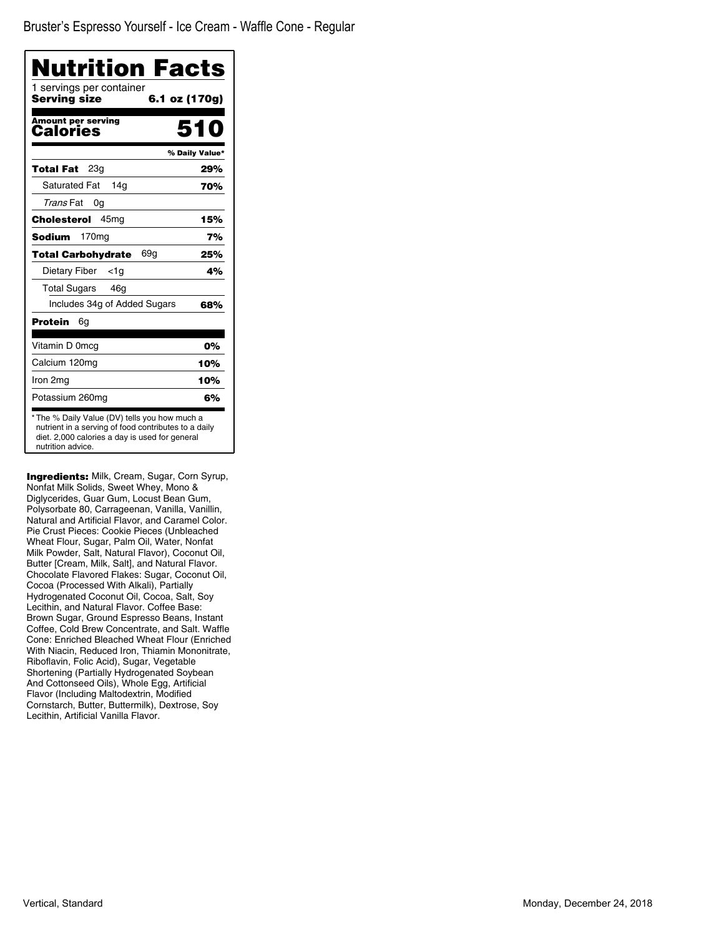| Nutrition Facts                                                                                                                                                              |                |
|------------------------------------------------------------------------------------------------------------------------------------------------------------------------------|----------------|
| 1 servings per container<br>Serving size                                                                                                                                     | 6.1 oz (170g)  |
| <b>Amount per serving</b><br>Calories                                                                                                                                        | 510            |
|                                                                                                                                                                              | % Daily Value* |
| 23 <sub>q</sub><br>Total Fat                                                                                                                                                 | 29%            |
| <b>Saturated Fat</b><br>14a                                                                                                                                                  | 70%            |
| Trans Fat<br>0g                                                                                                                                                              |                |
| 45 <sub>mq</sub><br>Cholesterol                                                                                                                                              | 15%            |
| Sodium<br>170mg                                                                                                                                                              | 7%             |
| 69a<br><b>Total Carbohydrate</b>                                                                                                                                             | 25%            |
| Dietary Fiber<br><1a                                                                                                                                                         | 4%             |
| Total Sugars<br>46a                                                                                                                                                          |                |
| Includes 34g of Added Sugars                                                                                                                                                 | 68%            |
| Protein<br>6g                                                                                                                                                                |                |
| Vitamin D 0mcg                                                                                                                                                               | 0%             |
| Calcium 120mg                                                                                                                                                                | 10%            |
| Iron 2mg                                                                                                                                                                     | 10%            |
| Potassium 260mg                                                                                                                                                              | 6%             |
| * The % Daily Value (DV) tells you how much a<br>nutrient in a serving of food contributes to a daily<br>diet. 2,000 calories a day is used for general<br>nutrition advice. |                |

Ingredients: Milk, Cream, Sugar, Corn Syrup, Nonfat Milk Solids, Sweet Whey, Mono & Diglycerides, Guar Gum, Locust Bean Gum, Polysorbate 80, Carrageenan, Vanilla, Vanillin, Natural and Artificial Flavor, and Caramel Color. Pie Crust Pieces: Cookie Pieces (Unbleached Wheat Flour, Sugar, Palm Oil, Water, Nonfat Milk Powder, Salt, Natural Flavor), Coconut Oil, Butter [Cream, Milk, Salt], and Natural Flavor. Chocolate Flavored Flakes: Sugar, Coconut Oil, Cocoa (Processed With Alkali), Partially Hydrogenated Coconut Oil, Cocoa, Salt, Soy Lecithin, and Natural Flavor. Coffee Base: Brown Sugar, Ground Espresso Beans, Instant Coffee, Cold Brew Concentrate, and Salt. Waffle Cone: Enriched Bleached Wheat Flour (Enriched With Niacin, Reduced Iron, Thiamin Mononitrate, Riboflavin, Folic Acid), Sugar, Vegetable Shortening (Partially Hydrogenated Soybean And Cottonseed Oils), Whole Egg, Artificial Flavor (Including Maltodextrin, Modified Cornstarch, Butter, Buttermilk), Dextrose, Soy Lecithin, Artificial Vanilla Flavor.